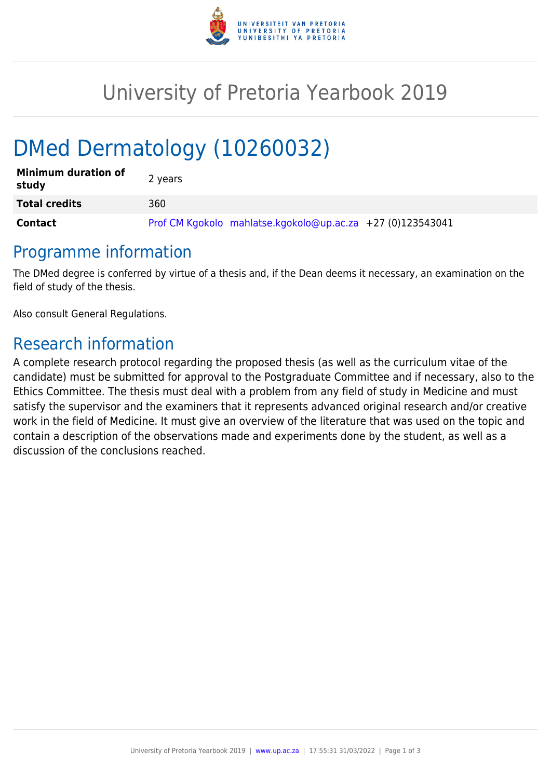

# University of Pretoria Yearbook 2019

# DMed Dermatology (10260032)

| <b>Minimum duration of</b><br>study | 2 years                                                    |
|-------------------------------------|------------------------------------------------------------|
| <b>Total credits</b>                | 360                                                        |
| <b>Contact</b>                      | Prof CM Kgokolo mahlatse.kgokolo@up.ac.za +27 (0)123543041 |

## Programme information

The DMed degree is conferred by virtue of a thesis and, if the Dean deems it necessary, an examination on the field of study of the thesis.

Also consult General Regulations.

## Research information

A complete research protocol regarding the proposed thesis (as well as the curriculum vitae of the candidate) must be submitted for approval to the Postgraduate Committee and if necessary, also to the Ethics Committee. The thesis must deal with a problem from any field of study in Medicine and must satisfy the supervisor and the examiners that it represents advanced original research and/or creative work in the field of Medicine. It must give an overview of the literature that was used on the topic and contain a description of the observations made and experiments done by the student, as well as a discussion of the conclusions reached.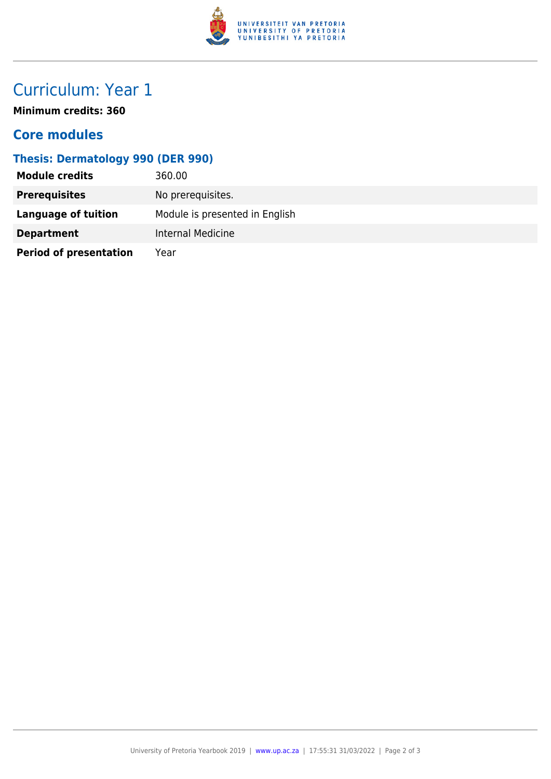

# Curriculum: Year 1

**Minimum credits: 360**

### **Core modules**

### **Thesis: Dermatology 990 (DER 990)**

| <b>Module credits</b>         | 360.00                         |
|-------------------------------|--------------------------------|
| <b>Prerequisites</b>          | No prerequisites.              |
| Language of tuition           | Module is presented in English |
| <b>Department</b>             | Internal Medicine              |
| <b>Period of presentation</b> | Year                           |